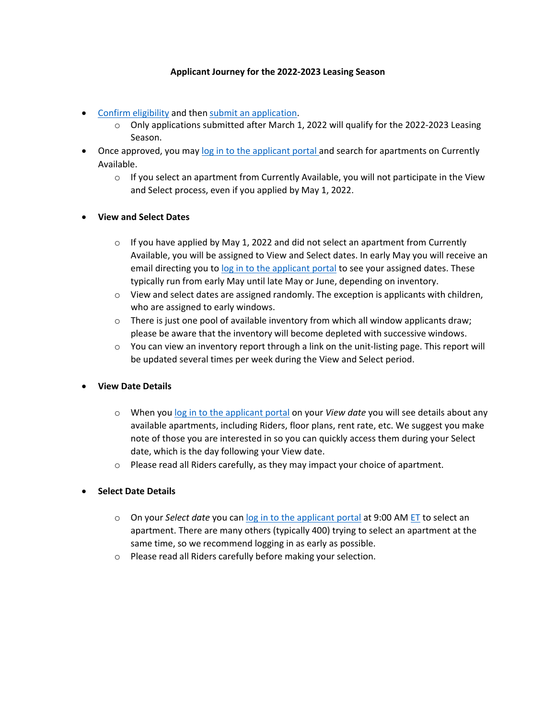## **Applicant Journey for the 2022-2023 Leasing Season**

- Confirm [eligibility](https://www.huhousing.harvard.edu/apply/application-process/housing-eligibility) and then [submit a](https://www.huhousing.harvard.edu/start-hu-housing-application-redirect-page)n application.
	- $\circ$  Only applications submitted after March 1, 2022 will qualify for the 2022-2023 Leasing Season.
- Once approved, you may [log in to the applicant portal a](https://www.huhousing.harvard.edu/applicant-portal-redirect-page)nd search for apartments on Currently Available.
	- $\circ$  If you select an apartment from Currently Available, you will not participate in the View and Select process, even if you applied by May 1, 2022.
- **View and Select Dates**
	- $\circ$  If you have applied by May 1, 2022 and did not select an apartment from Currently Available, you will be assigned to View and Select dates. In early May you will receive an email directing you to [log in to the applicant portal](https://www.huhousing.harvard.edu/applicant-portal-redirect-page) to see your assigned dates. These typically run from early May until late May or June, depending on inventory.
	- o View and select dates are assigned randomly. The exception is applicants with children, who are assigned to early windows.
	- $\circ$  There is just one pool of available inventory from which all window applicants draw; please be aware that the inventory will become depleted with successive windows.
	- $\circ$  You can view an inventory report through a link on the unit-listing page. This report will be updated several times per week during the View and Select period.

## • **View Date Details**

- o When you [log in to the applicant portal](https://www.huhousing.harvard.edu/applicant-portal-redirect-page) on your *View date* you will see details about any available apartments, including Riders, floor plans, rent rate, etc. We suggest you make note of those you are interested in so you can quickly access them during your Select date, which is the day following your View date.
- o Please read all Riders carefully, as they may impact your choice of apartment.
- **Select Date Details**
	- o On your *Select date* you can log in [to the applicant portal](https://www.huhousing.harvard.edu/applicant-portal-redirect-page) at 9:00 AM [ET](https://greenwichmeantime.com/time/to/eastern-local/) to select an apartment. There are many others (typically 400) trying to select an apartment at the same time, so we recommend logging in as early as possible.
	- o Please read all Riders carefully before making your selection.